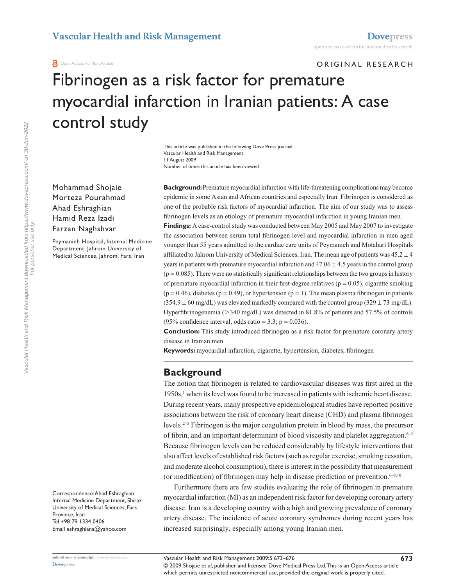Open Access Full Text Article

ORIGINAL RESEARCH

# Fibrinogen as a risk factor for premature myocardial infarction in Iranian patients: A case control study

Number of times this article has been viewed This article was published in the following Dove Press journal: Vascular Health and Risk Management 11 August 2009

Mohammad Shojaie Morteza Pourahmad Ahad Eshraghian Hamid Reza Izadi Farzan Naghshvar

Peymanieh Hospital, Internal Medicine Department, Jahrom University of Medical Sciences, Jahrom, Fars, Iran

Correspondence: Ahad Eshraghian Internal Medicine Department, Shiraz University of Medical Sciences, Fars Province, Iran Tel +98 79 1334 0406 Email eshraghiana@yahoo.com

**submit your manuscript** | <www.dovepress.com>

**Background:** Premature myocardial infarction with life-threatening complications may become epidemic in some Asian and African countries and especially Iran. Fibrinogen is considered as one of the probable risk factors of myocardial infarction. The aim of our study was to assess fibrinogen levels as an etiology of premature myocardial infarction in young Iranian men.

**Findings:** A case-control study was conducted between May 2005 and May 2007 to investigate the association between serum total fibrinogen level and myocardial infarction in men aged younger than 55 years admitted to the cardiac care units of Peymanieh and Motahari Hospitals affiliated to Jahrom University of Medical Sciences, Iran. The mean age of patients was  $45.2 \pm 4$ years in patients with premature myocardial infarction and  $47.06 \pm 4.5$  years in the control group  $(p = 0.085)$ . There were no statistically significant relationships between the two groups in history of premature myocardial infarction in their first-degree relatives  $(p = 0.05)$ , cigarette smoking  $(p = 0.46)$ , diabetes  $(p = 0.49)$ , or hypertension  $(p = 1)$ . The mean plasma fibrinogen in patients  $(354.9 \pm 60 \text{ mg/dL})$  was elevated markedly compared with the control group  $(329 \pm 73 \text{ mg/dL})$ . Hyperfibrinogenemia (>340 mg/dL) was detected in 81.8% of patients and 57.5% of controls (95% confidence interval, odds ratio = 3.3;  $p = 0.036$ ).

**Conclusion:** This study introduced fibrinogen as a risk factor for premature coronary artery disease in Iranian men.

**Keywords:** myocardial infarction, cigarette, hypertension, diabetes, fibrinogen

### **Background**

The notion that fibrinogen is related to cardiovascular diseases was first aired in the 1950s,<sup>1</sup> when its level was found to be increased in patients with ischemic heart disease. During recent years, many prospective epidemiological studies have reported positive associations between the risk of coronary heart disease (CHD) and plasma fibrinogen levels.2–5 Fibrinogen is the major coagulation protein in blood by mass, the precursor of fibrin, and an important determinant of blood viscosity and platelet aggregation. $6-9$ Because fibrinogen levels can be reduced considerably by lifestyle interventions that also affect levels of established risk factors (such as regular exercise, smoking cessation, and moderate alcohol consumption), there is interest in the possibility that measurement (or modification) of fibrinogen may help in disease prediction or prevention.<sup>6–8,10</sup>

Furthermore there are few studies evaluating the role of fibrinogen in premature myocardial infarction (MI) as an independent risk factor for developing coronary artery disease. Iran is a developing country with a high and growing prevalence of coronary artery disease. The incidence of acute coronary syndromes during recent years has increased surprisingly, especially among young Iranian men.

**[Dovepress](www.dovepress.com)**

<sup>© 2009</sup> Shojaie et al, publisher and licensee Dove Medical Press Ltd. This is an Open Access article which permits unrestricted noncommercial use, provided the original work is properly cited.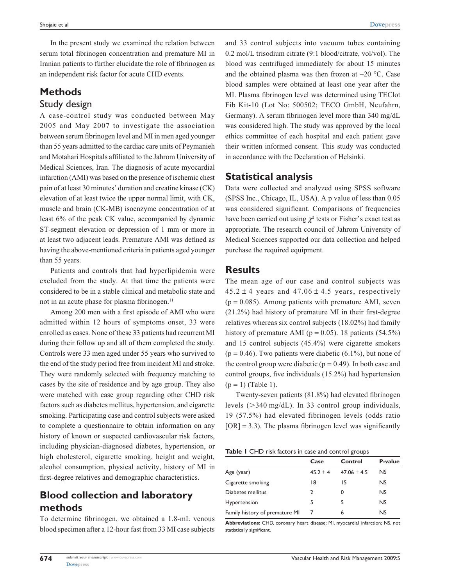In the present study we examined the relation between serum total fibrinogen concentration and premature MI in Iranian patients to further elucidate the role of fibrinogen as an independent risk factor for acute CHD events.

# **Methods**

# Study design

A case-control study was conducted between May 2005 and May 2007 to investigate the association between serum fibrinogen level and MI in men aged younger than 55 years admitted to the cardiac care units of Peymanieh and Motahari Hospitals affiliated to the Jahrom University of Medical Sciences, Iran. The diagnosis of acute myocardial infarction (AMI) was based on the presence of ischemic chest pain of at least 30 minutes' duration and creatine kinase (CK) elevation of at least twice the upper normal limit, with CK, muscle and brain (CK-MB) isoenzyme concentration of at least 6% of the peak CK value, accompanied by dynamic ST-segment elevation or depression of 1 mm or more in at least two adjacent leads. Premature AMI was defined as having the above-mentioned criteria in patients aged younger than 55 years.

Patients and controls that had hyperlipidemia were excluded from the study. At that time the patients were considered to be in a stable clinical and metabolic state and not in an acute phase for plasma fibrinogen.<sup>11</sup>

Among 200 men with a first episode of AMI who were admitted within 12 hours of symptoms onset, 33 were enrolled as cases. None of these 33 patients had recurrent MI during their follow up and all of them completed the study. Controls were 33 men aged under 55 years who survived to the end of the study period free from incident MI and stroke. They were randomly selected with frequency matching to cases by the site of residence and by age group. They also were matched with case group regarding other CHD risk factors such as diabetes mellitus, hypertension, and cigarette smoking. Participating case and control subjects were asked to complete a questionnaire to obtain information on any history of known or suspected cardiovascular risk factors, including physician-diagnosed diabetes, hypertension, or high cholesterol, cigarette smoking, height and weight, alcohol consumption, physical activity, history of MI in first-degree relatives and demographic characteristics.

## **Blood collection and laboratory methods**

To determine fibrinogen, we obtained a 1.8-mL venous blood specimen after a 12-hour fast from 33 MI case subjects and 33 control subjects into vacuum tubes containing 0.2 mol/L trisodium citrate (9:1 blood/citrate, vol/vol). The blood was centrifuged immediately for about 15 minutes and the obtained plasma was then frozen at −20 °C. Case blood samples were obtained at least one year after the MI. Plasma fibrinogen level was determined using TEClot Fib Kit-10 (Lot No: 500502; TECO GmbH, Neufahrn, Germany). A serum fibrinogen level more than 340 mg/dL was considered high. The study was approved by the local ethics committee of each hospital and each patient gave their written informed consent. This study was conducted in accordance with the Declaration of Helsinki.

#### **Statistical analysis**

Data were collected and analyzed using SPSS software (SPSS Inc., Chicago, IL, USA). A p value of less than 0.05 was considered significant. Comparisons of frequencies have been carried out using  $\chi^2$  tests or Fisher's exact test as appropriate. The research council of Jahrom University of Medical Sciences supported our data collection and helped purchase the required equipment.

#### **Results**

The mean age of our case and control subjects was  $45.2 \pm 4$  years and  $47.06 \pm 4.5$  years, respectively  $(p = 0.085)$ . Among patients with premature AMI, seven (21.2%) had history of premature MI in their first-degree relatives whereas six control subjects (18.02%) had family history of premature AMI ( $p = 0.05$ ). 18 patients (54.5%) and 15 control subjects (45.4%) were cigarette smokers  $(p = 0.46)$ . Two patients were diabetic  $(6.1\%)$ , but none of the control group were diabetic ( $p = 0.49$ ). In both case and control groups, five individuals (15.2%) had hypertension  $(p = 1)$  (Table 1).

Twenty-seven patients (81.8%) had elevated fibrinogen levels  $(>340 \text{ mg/dL})$ . In 33 control group individuals, 19 (57.5%) had elevated fibrinogen levels (odds ratio  $[OR] = 3.3$ ). The plasma fibrinogen level was significantly

|  |  | Table I CHD risk factors in case and control groups |  |  |  |  |  |
|--|--|-----------------------------------------------------|--|--|--|--|--|
|--|--|-----------------------------------------------------|--|--|--|--|--|

|                                | Case       | Control         | P-value   |  |
|--------------------------------|------------|-----------------|-----------|--|
| Age (year)                     | $45.2 + 4$ | $47.06 \pm 4.5$ | <b>NS</b> |  |
| Cigarette smoking              | 18         | 15              | <b>NS</b> |  |
| Diabetes mellitus              |            | 0               | <b>NS</b> |  |
| Hypertension                   | 5          | 5               | <b>NS</b> |  |
| Family history of premature MI |            | 6               | NS        |  |

**Abbreviations:** CHD, coronary heart disease; MI, myocardial infarction; NS, not statistically significant.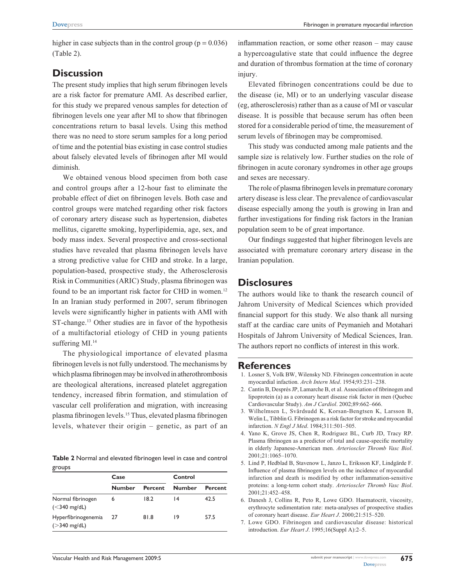higher in case subjects than in the control group ( $p = 0.036$ ) (Table 2).

#### **Discussion**

The present study implies that high serum fibrinogen levels are a risk factor for premature AMI. As described earlier, for this study we prepared venous samples for detection of fibrinogen levels one year after MI to show that fibrinogen concentrations return to basal levels. Using this method there was no need to store serum samples for a long period of time and the potential bias existing in case control studies about falsely elevated levels of fibrinogen after MI would diminish.

We obtained venous blood specimen from both case and control groups after a 12-hour fast to eliminate the probable effect of diet on fibrinogen levels. Both case and control groups were matched regarding other risk factors of coronary artery disease such as hypertension, diabetes mellitus, cigarette smoking, hyperlipidemia, age, sex, and body mass index. Several prospective and cross-sectional studies have revealed that plasma fibrinogen levels have a strong predictive value for CHD and stroke. In a large, population-based, prospective study, the Atherosclerosis Risk in Communities (ARIC) Study, plasma fibrinogen was found to be an important risk factor for CHD in women.<sup>12</sup> In an Iranian study performed in 2007, serum fibrinogen levels were significantly higher in patients with AMI with ST-change.<sup>13</sup> Other studies are in favor of the hypothesis of a multifactorial etiology of CHD in young patients suffering MI.<sup>14</sup>

The physiological importance of elevated plasma fibrinogen levels is not fully understood. The mechanisms by which plasma fibrinogen may be involved in atherothrombosis are theological alterations, increased platelet aggregation tendency, increased fibrin formation, and stimulation of vascular cell proliferation and migration, with increasing plasma fibrinogen levels.15 Thus, elevated plasma fibrinogen levels, whatever their origin – genetic, as part of an

**Table 2** Normal and elevated fibrinogen level in case and control groups

|                                        | Case   |                | Control         |                |  |
|----------------------------------------|--------|----------------|-----------------|----------------|--|
|                                        | Number | <b>Percent</b> | <b>Number</b>   | <b>Percent</b> |  |
| Normal fibrinogen<br>$(<$ 340 mg/dL)   | 6      | 18.2           | $\overline{14}$ | 42.5           |  |
| Hyperfibrinogenemia<br>$($ >340 mg/dL) | 27     | 81.8           | 19              | 57.5           |  |

inflammation reaction, or some other reason – may cause a hypercoagulative state that could influence the degree and duration of thrombus formation at the time of coronary injury.

Elevated fibrinogen concentrations could be due to the disease (ie, MI) or to an underlying vascular disease (eg, atherosclerosis) rather than as a cause of MI or vascular disease. It is possible that because serum has often been stored for a considerable period of time, the measurement of serum levels of fibrinogen may be compromised.

This study was conducted among male patients and the sample size is relatively low. Further studies on the role of fibrinogen in acute coronary syndromes in other age groups and sexes are necessary.

The role of plasma fibrinogen levels in premature coronary artery disease is less clear. The prevalence of cardiovascular disease especially among the youth is growing in Iran and further investigations for finding risk factors in the Iranian population seem to be of great importance.

Our findings suggested that higher fibrinogen levels are associated with premature coronary artery disease in the Iranian population.

#### **Disclosures**

The authors would like to thank the research council of Jahrom University of Medical Sciences which provided financial support for this study. We also thank all nursing staff at the cardiac care units of Peymanieh and Motahari Hospitals of Jahrom University of Medical Sciences, Iran. The authors report no conflicts of interest in this work.

#### **References**

- 1. Losner S, Volk BW, Wilensky ND. Fibrinogen concentration in acute myocardial infaction. *Arch Intern Med*. 1954;93:231–238.
- 2. Cantin B, Després JP, Lamarche B, et al. Association of fibrinogen and lipoprotein (a) as a coronary heart disease risk factor in men (Quebec Cardiovascular Study). *Am J Cardiol*. 2002;89:662–666.
- 3. Wilhelmsen L, Svärdsudd K, Korsan-Bengtsen K, Larsson B, Welin L, Tibblin G. Fibrinogen as a risk factor for stroke and myocardial infarction. *N Engl J Med*. 1984;311:501–505.
- 4. Yano K, Grove JS, Chen R, Rodriguez BL, Curb JD, Tracy RP. Plasma fibrinogen as a predictor of total and cause-specific mortality in elderly Japanese-American men. *Arterioscler Thromb Vasc Biol*. 2001;21:1065–1070.
- 5. Lind P, Hedblad B, Stavenow L, Janzo L, Eriksson KF, Lindgärde F. Influence of plasma fibrinogen levels on the incidence of myocardial infarction and death is modified by other inflammation-sensitive proteins: a long-term cohort study. *Arterioscler Thromb Vasc Biol*. 2001;21:452–458.
- 6. Danesh J, Collins R, Peto R, Lowe GDO. Haematocrit, viscosity, erythrocyte sedimentation rate: meta-analyses of prospective studies of coronary heart disease. *Eur Heart J*. 2000;21:515–520.
- 7. Lowe GDO. Fibrinogen and cardiovascular disease: historical introduction. *Eur Heart J*. 1995;16(Suppl A):2–5.